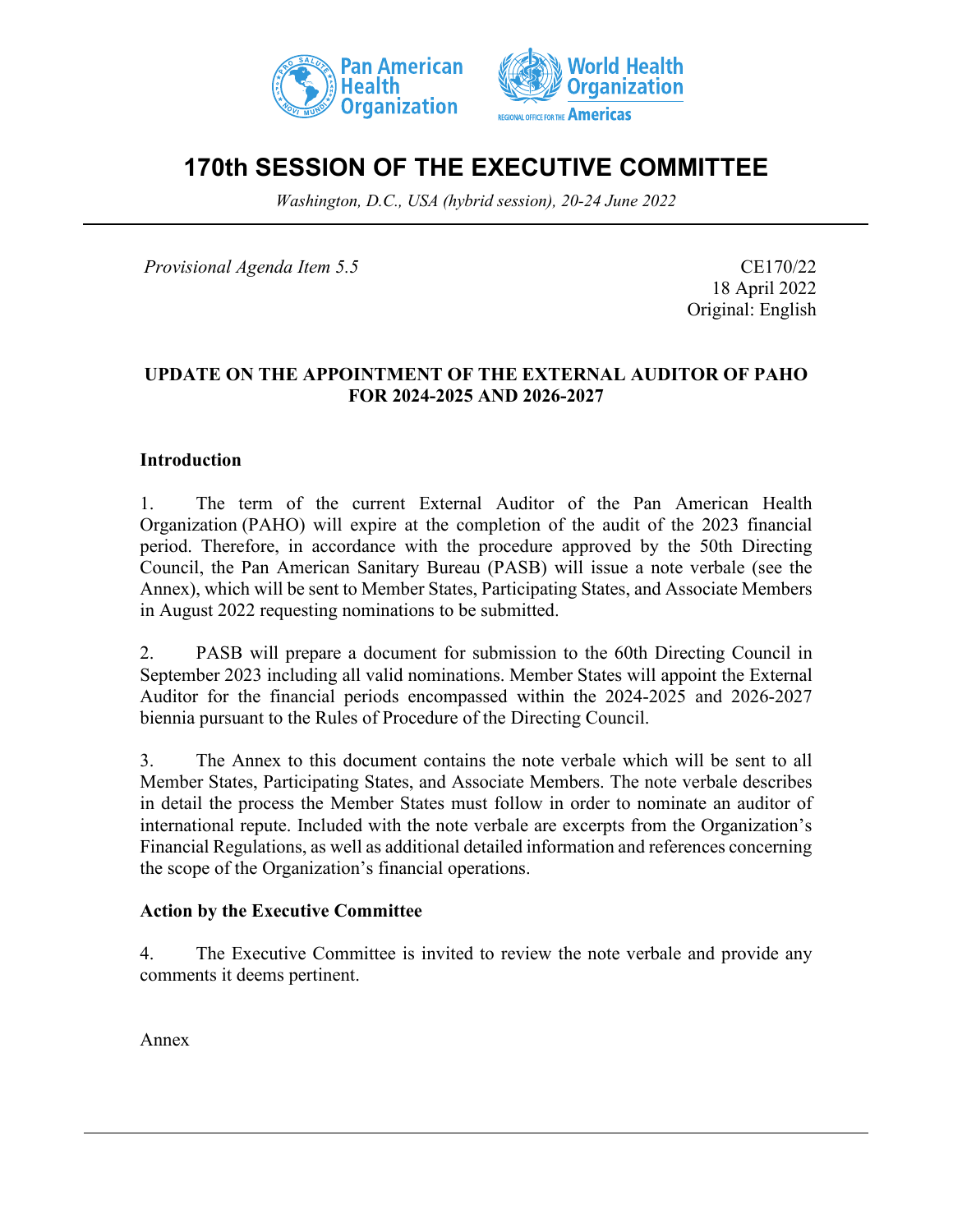



# **170th SESSION OF THE EXECUTIVE COMMITTEE**

*Washington, D.C., USA (hybrid session), 20-24 June 2022*

*Provisional Agenda Item 5.5* CE170/22

18 April 2022 Original: English

#### **UPDATE ON THE APPOINTMENT OF THE EXTERNAL AUDITOR OF PAHO FOR 2024-2025 AND 2026-2027**

#### **Introduction**

1. The term of the current External Auditor of the Pan American Health Organization (PAHO) will expire at the completion of the audit of the 2023 financial period. Therefore, in accordance with the procedure approved by the 50th Directing Council, the Pan American Sanitary Bureau (PASB) will issue a note verbale (see the Annex), which will be sent to Member States, Participating States, and Associate Members in August 2022 requesting nominations to be submitted.

2. PASB will prepare a document for submission to the 60th Directing Council in September 2023 including all valid nominations. Member States will appoint the External Auditor for the financial periods encompassed within the 2024-2025 and 2026-2027 biennia pursuant to the Rules of Procedure of the Directing Council.

3. The Annex to this document contains the note verbale which will be sent to all Member States, Participating States, and Associate Members. The note verbale describes in detail the process the Member States must follow in order to nominate an auditor of international repute. Included with the note verbale are excerpts from the Organization's Financial Regulations, as well as additional detailed information and references concerning the scope of the Organization's financial operations.

#### **Action by the Executive Committee**

4. The Executive Committee is invited to review the note verbale and provide any comments it deems pertinent.

Annex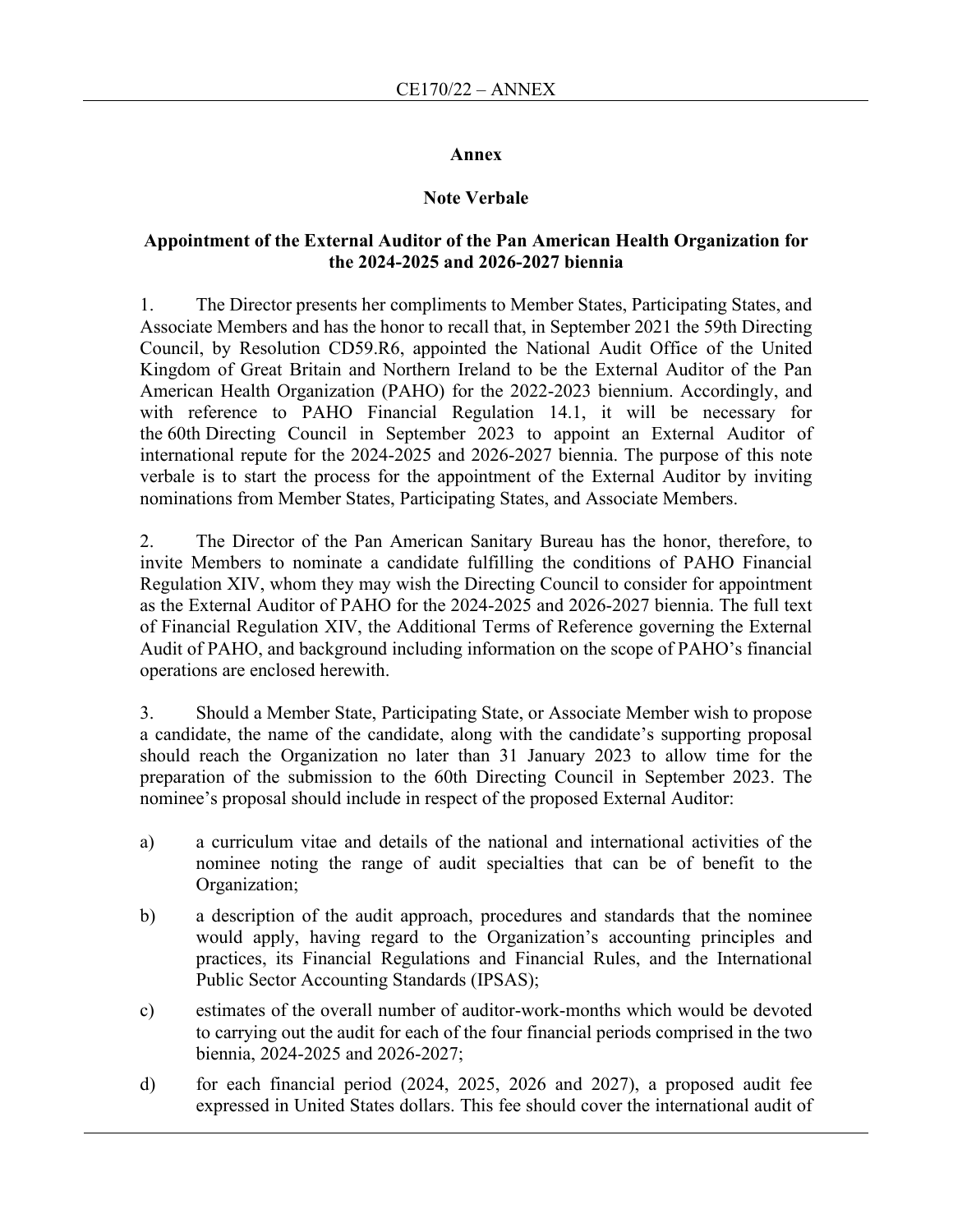#### **Annex**

#### **Note Verbale**

#### **Appointment of the External Auditor of the Pan American Health Organization for the 2024-2025 and 2026-2027 biennia**

1. The Director presents her compliments to Member States, Participating States, and Associate Members and has the honor to recall that, in September 2021 the 59th Directing Council, by Resolution CD59.R6, appointed the National Audit Office of the United Kingdom of Great Britain and Northern Ireland to be the External Auditor of the Pan American Health Organization (PAHO) for the 2022-2023 biennium. Accordingly, and with reference to PAHO Financial Regulation 14.1, it will be necessary for the 60th Directing Council in September 2023 to appoint an External Auditor of international repute for the 2024-2025 and 2026-2027 biennia. The purpose of this note verbale is to start the process for the appointment of the External Auditor by inviting nominations from Member States, Participating States, and Associate Members.

2. The Director of the Pan American Sanitary Bureau has the honor, therefore, to invite Members to nominate a candidate fulfilling the conditions of PAHO Financial Regulation XIV, whom they may wish the Directing Council to consider for appointment as the External Auditor of PAHO for the 2024-2025 and 2026-2027 biennia. The full text of Financial Regulation XIV, the Additional Terms of Reference governing the External Audit of PAHO, and background including information on the scope of PAHO's financial operations are enclosed herewith.

3. Should a Member State, Participating State, or Associate Member wish to propose a candidate, the name of the candidate, along with the candidate's supporting proposal should reach the Organization no later than 31 January 2023 to allow time for the preparation of the submission to the 60th Directing Council in September 2023. The nominee's proposal should include in respect of the proposed External Auditor:

- a) a curriculum vitae and details of the national and international activities of the nominee noting the range of audit specialties that can be of benefit to the Organization;
- b) a description of the audit approach, procedures and standards that the nominee would apply, having regard to the Organization's accounting principles and practices, its Financial Regulations and Financial Rules, and the International Public Sector Accounting Standards (IPSAS);
- c) estimates of the overall number of auditor-work-months which would be devoted to carrying out the audit for each of the four financial periods comprised in the two biennia, 2024-2025 and 2026-2027;
- d) for each financial period (2024, 2025, 2026 and 2027), a proposed audit fee expressed in United States dollars. This fee should cover the international audit of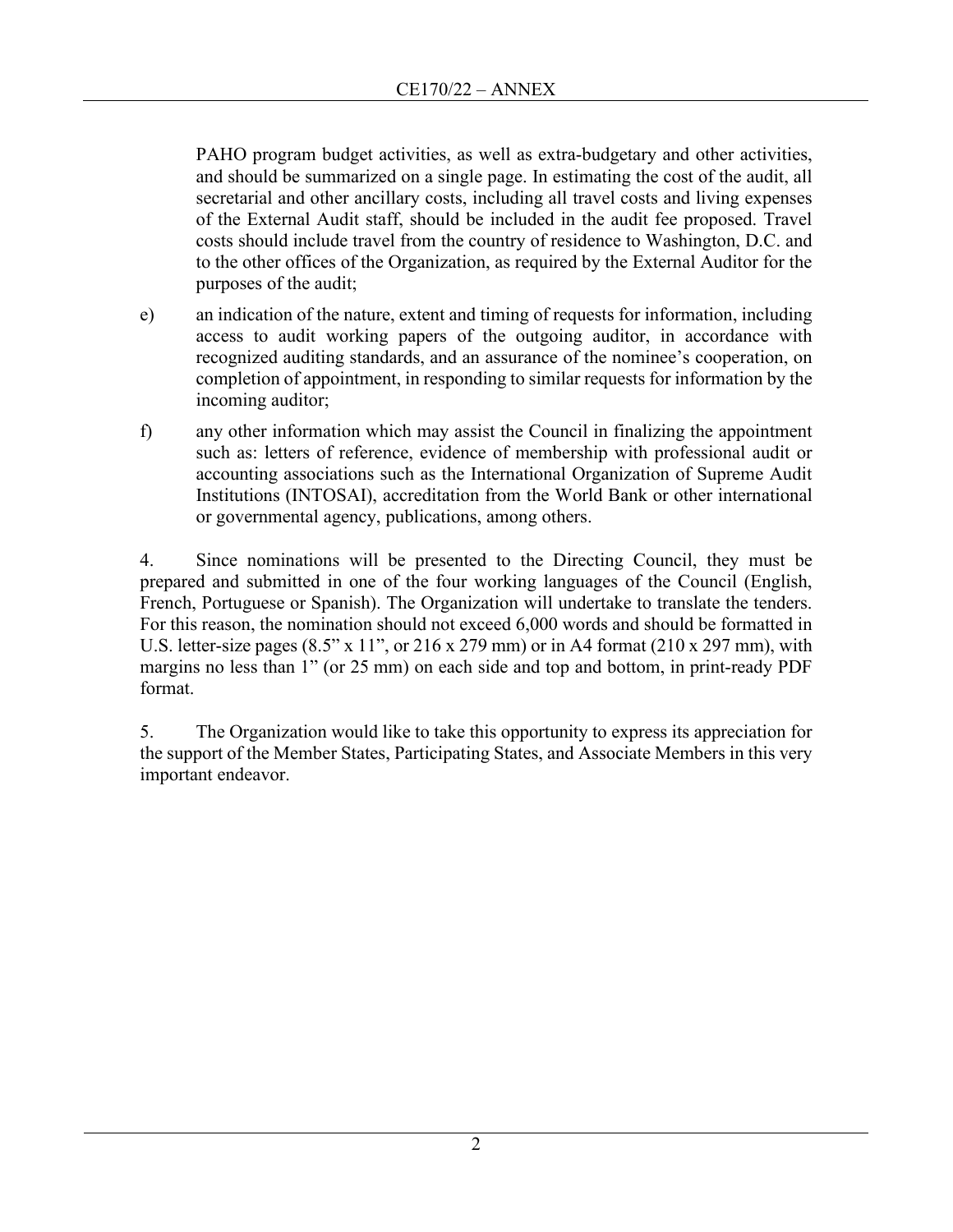PAHO program budget activities, as well as extra-budgetary and other activities, and should be summarized on a single page. In estimating the cost of the audit, all secretarial and other ancillary costs, including all travel costs and living expenses of the External Audit staff, should be included in the audit fee proposed. Travel costs should include travel from the country of residence to Washington, D.C. and to the other offices of the Organization, as required by the External Auditor for the purposes of the audit;

- e) an indication of the nature, extent and timing of requests for information, including access to audit working papers of the outgoing auditor, in accordance with recognized auditing standards, and an assurance of the nominee's cooperation, on completion of appointment, in responding to similar requests for information by the incoming auditor;
- f) any other information which may assist the Council in finalizing the appointment such as: letters of reference, evidence of membership with professional audit or accounting associations such as the International Organization of Supreme Audit Institutions (INTOSAI), accreditation from the World Bank or other international or governmental agency, publications, among others.

4. Since nominations will be presented to the Directing Council, they must be prepared and submitted in one of the four working languages of the Council (English, French, Portuguese or Spanish). The Organization will undertake to translate the tenders. For this reason, the nomination should not exceed 6,000 words and should be formatted in U.S. letter-size pages  $(8.5" \times 11"$ , or  $216 \times 279$  mm) or in A4 format  $(210 \times 297$  mm), with margins no less than 1" (or 25 mm) on each side and top and bottom, in print-ready PDF format.

5. The Organization would like to take this opportunity to express its appreciation for the support of the Member States, Participating States, and Associate Members in this very important endeavor.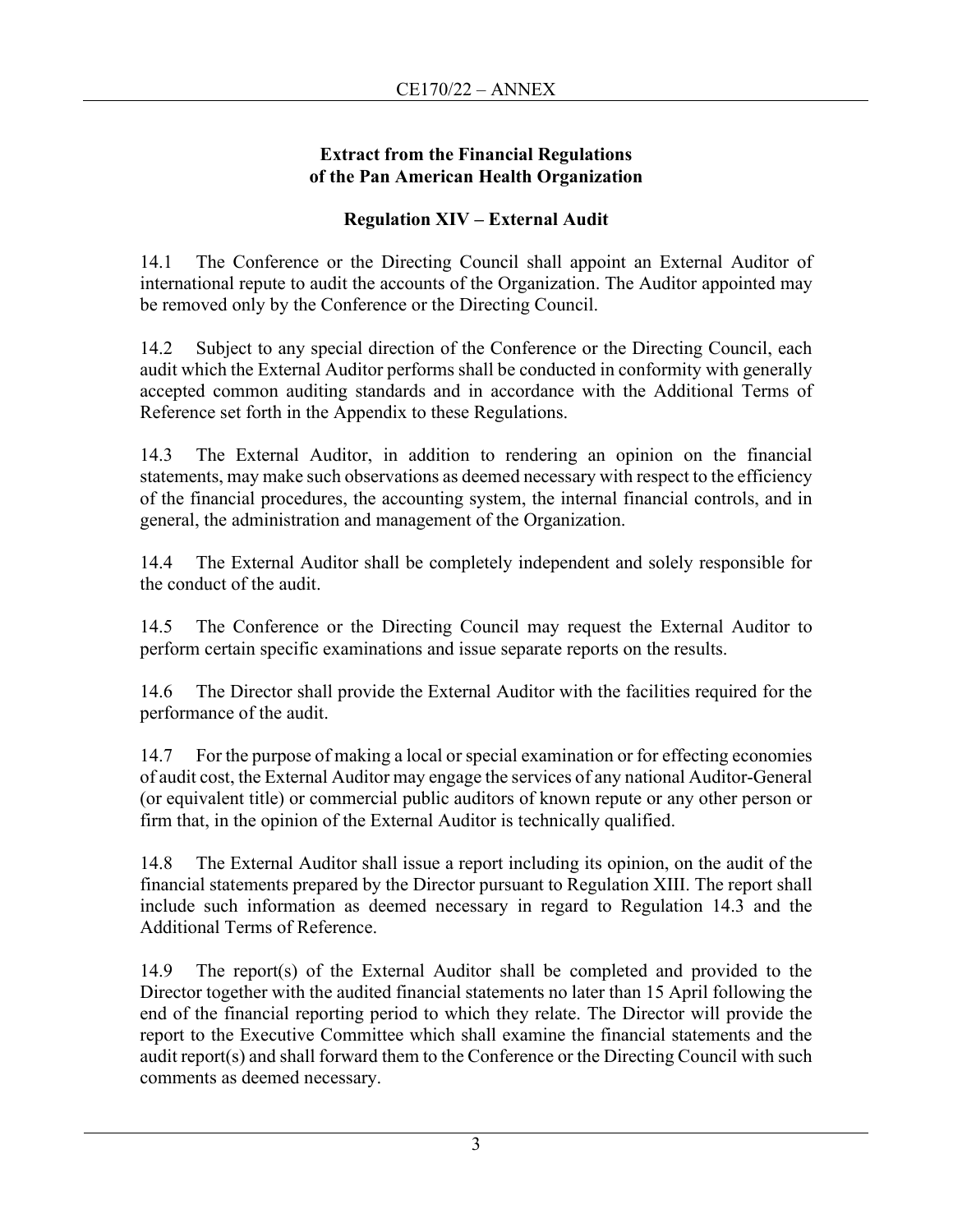### **Extract from the Financial Regulations of the Pan American Health Organization**

### **Regulation XIV – External Audit**

14.1 The Conference or the Directing Council shall appoint an External Auditor of international repute to audit the accounts of the Organization. The Auditor appointed may be removed only by the Conference or the Directing Council.

14.2 Subject to any special direction of the Conference or the Directing Council, each audit which the External Auditor performs shall be conducted in conformity with generally accepted common auditing standards and in accordance with the Additional Terms of Reference set forth in the Appendix to these Regulations.

14.3 The External Auditor, in addition to rendering an opinion on the financial statements, may make such observations as deemed necessary with respect to the efficiency of the financial procedures, the accounting system, the internal financial controls, and in general, the administration and management of the Organization.

14.4 The External Auditor shall be completely independent and solely responsible for the conduct of the audit.

14.5 The Conference or the Directing Council may request the External Auditor to perform certain specific examinations and issue separate reports on the results.

14.6 The Director shall provide the External Auditor with the facilities required for the performance of the audit.

14.7 For the purpose of making a local or special examination or for effecting economies of audit cost, the External Auditor may engage the services of any national Auditor-General (or equivalent title) or commercial public auditors of known repute or any other person or firm that, in the opinion of the External Auditor is technically qualified.

14.8 The External Auditor shall issue a report including its opinion, on the audit of the financial statements prepared by the Director pursuant to Regulation XIII. The report shall include such information as deemed necessary in regard to Regulation 14.3 and the Additional Terms of Reference.

14.9 The report(s) of the External Auditor shall be completed and provided to the Director together with the audited financial statements no later than 15 April following the end of the financial reporting period to which they relate. The Director will provide the report to the Executive Committee which shall examine the financial statements and the audit report(s) and shall forward them to the Conference or the Directing Council with such comments as deemed necessary.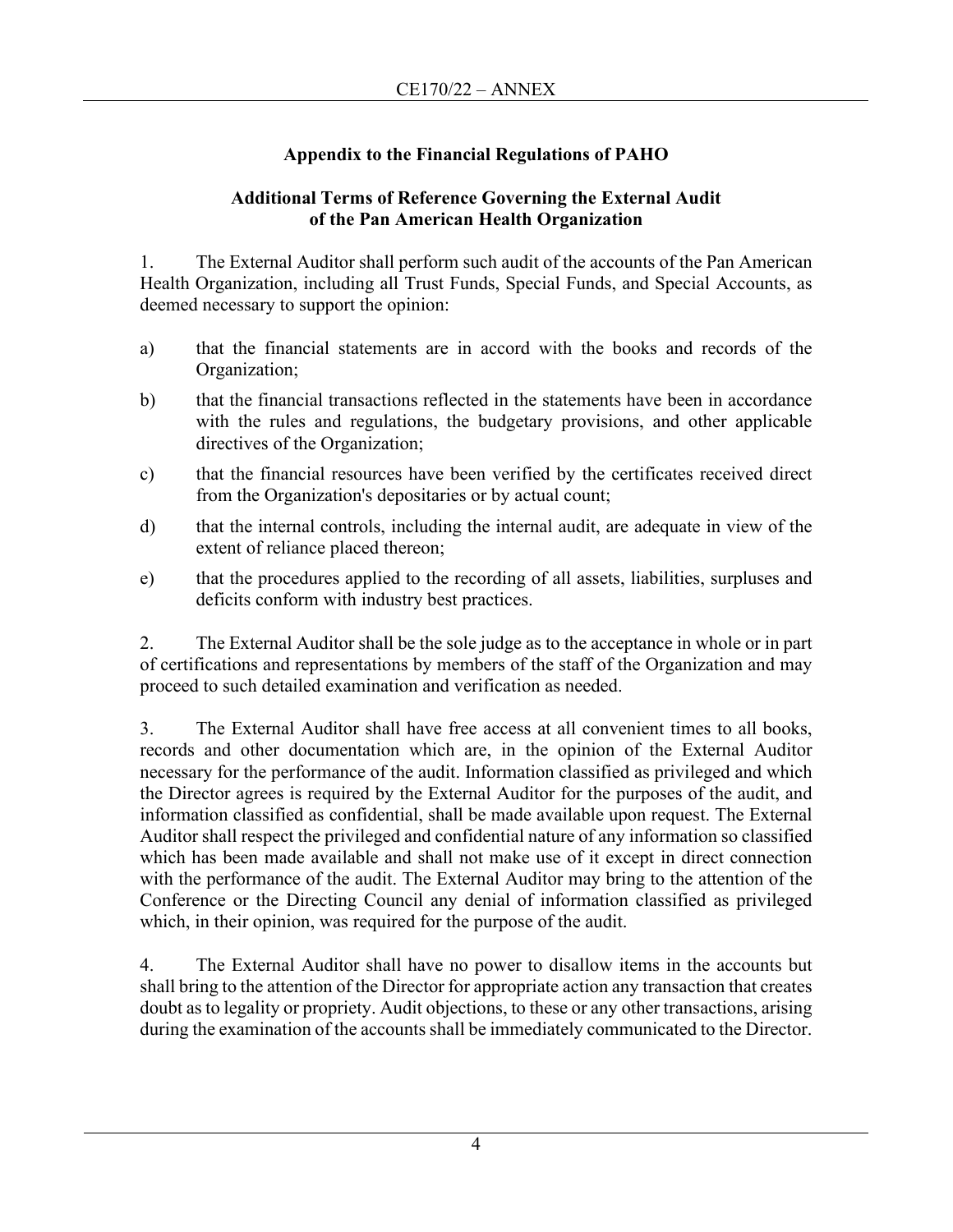### **Appendix to the Financial Regulations of PAHO**

### **Additional Terms of Reference Governing the External Audit of the Pan American Health Organization**

1. The External Auditor shall perform such audit of the accounts of the Pan American Health Organization, including all Trust Funds, Special Funds, and Special Accounts, as deemed necessary to support the opinion:

- a) that the financial statements are in accord with the books and records of the Organization;
- b) that the financial transactions reflected in the statements have been in accordance with the rules and regulations, the budgetary provisions, and other applicable directives of the Organization;
- c) that the financial resources have been verified by the certificates received direct from the Organization's depositaries or by actual count;
- d) that the internal controls, including the internal audit, are adequate in view of the extent of reliance placed thereon;
- e) that the procedures applied to the recording of all assets, liabilities, surpluses and deficits conform with industry best practices.

2. The External Auditor shall be the sole judge as to the acceptance in whole or in part of certifications and representations by members of the staff of the Organization and may proceed to such detailed examination and verification as needed.

3. The External Auditor shall have free access at all convenient times to all books, records and other documentation which are, in the opinion of the External Auditor necessary for the performance of the audit. Information classified as privileged and which the Director agrees is required by the External Auditor for the purposes of the audit, and information classified as confidential, shall be made available upon request. The External Auditor shall respect the privileged and confidential nature of any information so classified which has been made available and shall not make use of it except in direct connection with the performance of the audit. The External Auditor may bring to the attention of the Conference or the Directing Council any denial of information classified as privileged which, in their opinion, was required for the purpose of the audit.

4. The External Auditor shall have no power to disallow items in the accounts but shall bring to the attention of the Director for appropriate action any transaction that creates doubt as to legality or propriety. Audit objections, to these or any other transactions, arising during the examination of the accounts shall be immediately communicated to the Director.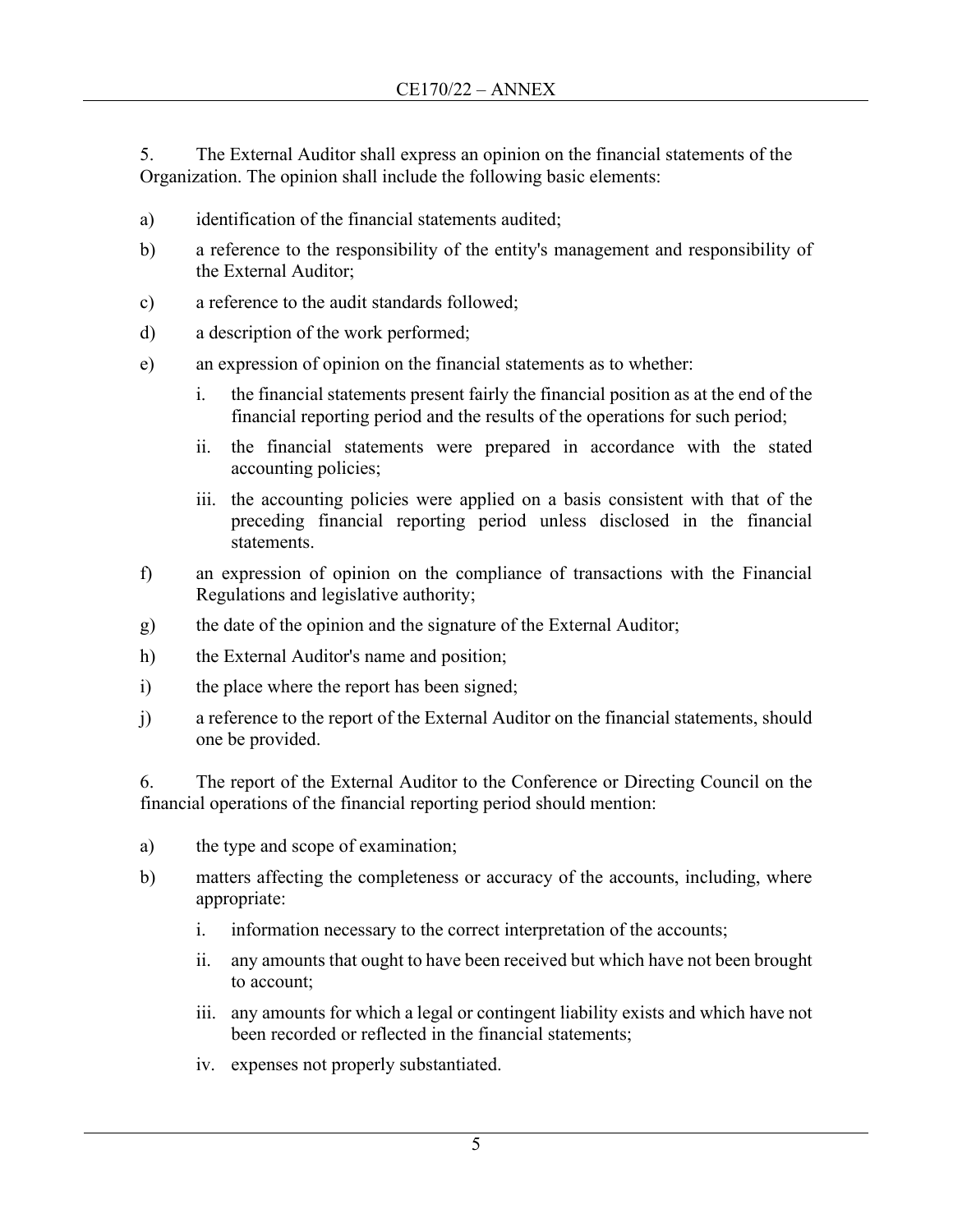5. The External Auditor shall express an opinion on the financial statements of the Organization. The opinion shall include the following basic elements:

- a) identification of the financial statements audited;
- b) a reference to the responsibility of the entity's management and responsibility of the External Auditor;
- c) a reference to the audit standards followed;
- d) a description of the work performed;
- e) an expression of opinion on the financial statements as to whether:
	- i. the financial statements present fairly the financial position as at the end of the financial reporting period and the results of the operations for such period;
	- ii. the financial statements were prepared in accordance with the stated accounting policies;
	- iii. the accounting policies were applied on a basis consistent with that of the preceding financial reporting period unless disclosed in the financial statements.
- f) an expression of opinion on the compliance of transactions with the Financial Regulations and legislative authority;
- g) the date of the opinion and the signature of the External Auditor;
- h) the External Auditor's name and position;
- i) the place where the report has been signed;
- j) a reference to the report of the External Auditor on the financial statements, should one be provided.

6. The report of the External Auditor to the Conference or Directing Council on the financial operations of the financial reporting period should mention:

- a) the type and scope of examination;
- b) matters affecting the completeness or accuracy of the accounts, including, where appropriate:
	- i. information necessary to the correct interpretation of the accounts;
	- ii. any amounts that ought to have been received but which have not been brought to account;
	- iii. any amounts for which a legal or contingent liability exists and which have not been recorded or reflected in the financial statements;
	- iv. expenses not properly substantiated.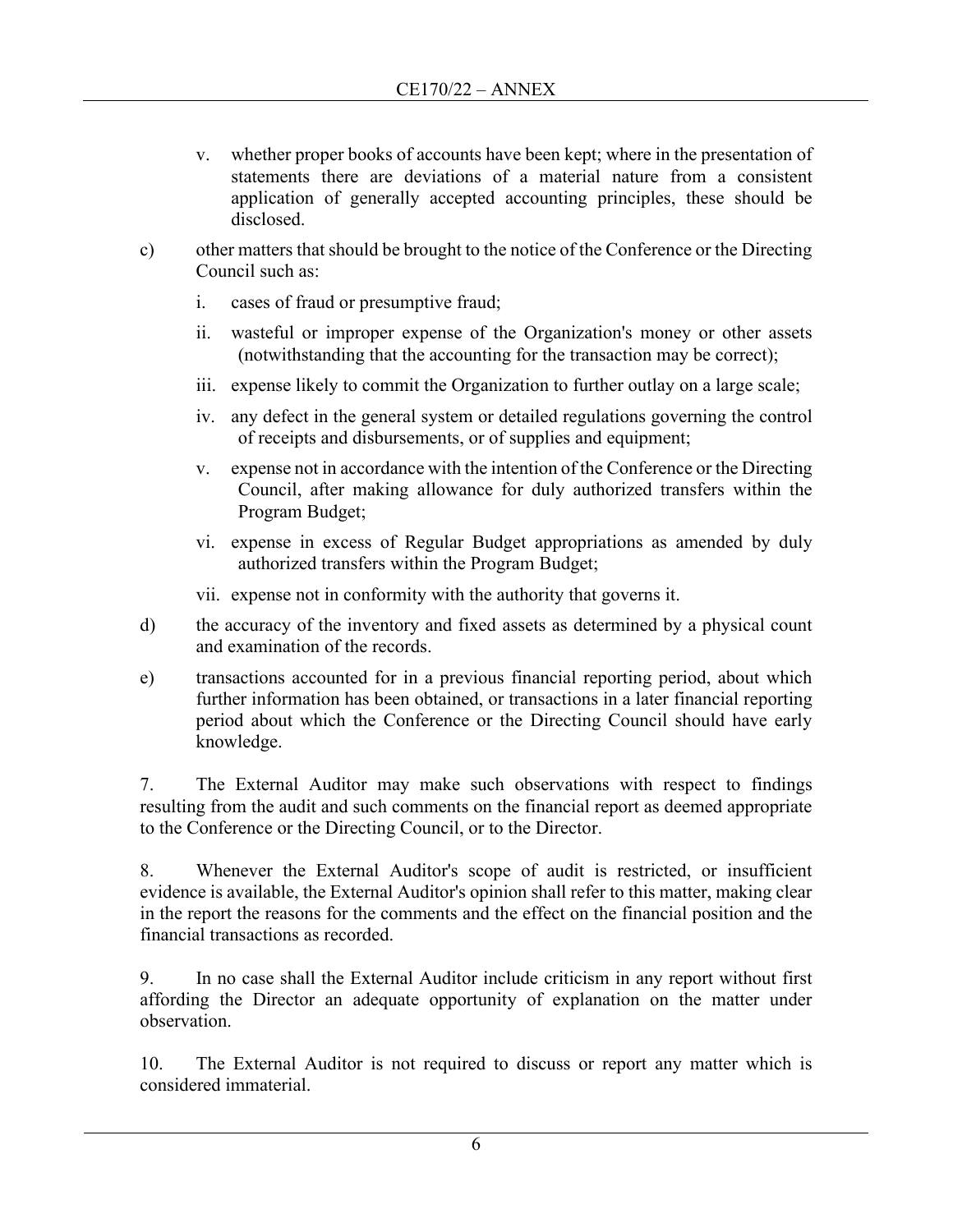- v. whether proper books of accounts have been kept; where in the presentation of statements there are deviations of a material nature from a consistent application of generally accepted accounting principles, these should be disclosed.
- c) other matters that should be brought to the notice of the Conference or the Directing Council such as:
	- i. cases of fraud or presumptive fraud;
	- ii. wasteful or improper expense of the Organization's money or other assets (notwithstanding that the accounting for the transaction may be correct);
	- iii. expense likely to commit the Organization to further outlay on a large scale;
	- iv. any defect in the general system or detailed regulations governing the control of receipts and disbursements, or of supplies and equipment;
	- v. expense not in accordance with the intention of the Conference or the Directing Council, after making allowance for duly authorized transfers within the Program Budget;
	- vi. expense in excess of Regular Budget appropriations as amended by duly authorized transfers within the Program Budget;
	- vii. expense not in conformity with the authority that governs it.
- d) the accuracy of the inventory and fixed assets as determined by a physical count and examination of the records.
- e) transactions accounted for in a previous financial reporting period, about which further information has been obtained, or transactions in a later financial reporting period about which the Conference or the Directing Council should have early knowledge.

7. The External Auditor may make such observations with respect to findings resulting from the audit and such comments on the financial report as deemed appropriate to the Conference or the Directing Council, or to the Director.

8. Whenever the External Auditor's scope of audit is restricted, or insufficient evidence is available, the External Auditor's opinion shall refer to this matter, making clear in the report the reasons for the comments and the effect on the financial position and the financial transactions as recorded.

9. In no case shall the External Auditor include criticism in any report without first affording the Director an adequate opportunity of explanation on the matter under observation.

10. The External Auditor is not required to discuss or report any matter which is considered immaterial.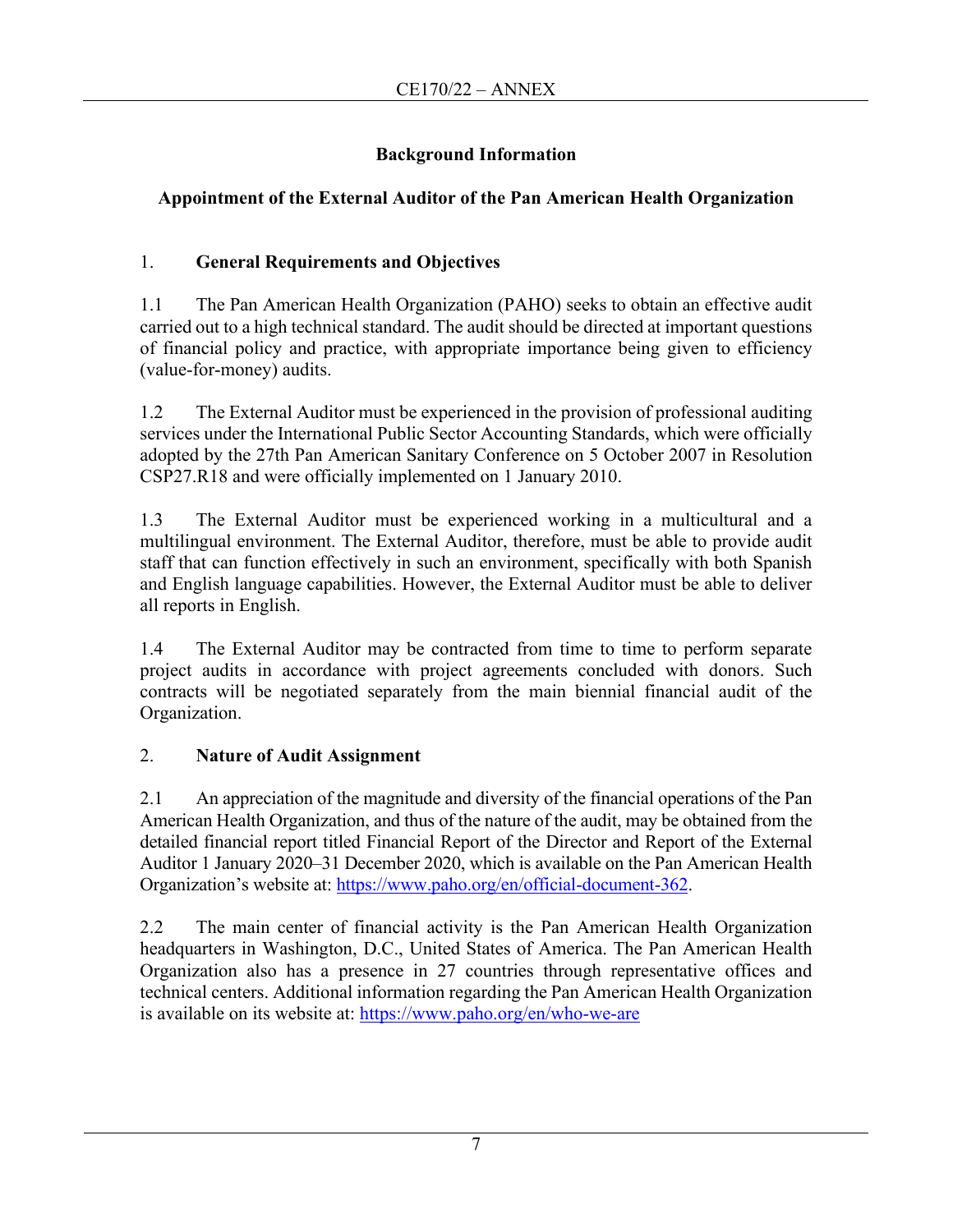## **Background Information**

# **Appointment of the External Auditor of the Pan American Health Organization**

# 1. **General Requirements and Objectives**

1.1 The Pan American Health Organization (PAHO) seeks to obtain an effective audit carried out to a high technical standard. The audit should be directed at important questions of financial policy and practice, with appropriate importance being given to efficiency (value-for-money) audits.

1.2 The External Auditor must be experienced in the provision of professional auditing services under the International Public Sector Accounting Standards, which were officially adopted by the 27th Pan American Sanitary Conference on 5 October 2007 in Resolution CSP27.R18 and were officially implemented on 1 January 2010.

1.3 The External Auditor must be experienced working in a multicultural and a multilingual environment. The External Auditor, therefore, must be able to provide audit staff that can function effectively in such an environment, specifically with both Spanish and English language capabilities. However, the External Auditor must be able to deliver all reports in English.

1.4 The External Auditor may be contracted from time to time to perform separate project audits in accordance with project agreements concluded with donors. Such contracts will be negotiated separately from the main biennial financial audit of the Organization.

# 2. **Nature of Audit Assignment**

2.1 An appreciation of the magnitude and diversity of the financial operations of the Pan American Health Organization, and thus of the nature of the audit, may be obtained from the detailed financial report titled Financial Report of the Director and Report of the External Auditor 1 January 2020–31 December 2020, which is available on the Pan American Health Organization's website at: [https://www.paho.org/en/official-document-362.](https://www.paho.org/en/official-document-362)

2.2 The main center of financial activity is the Pan American Health Organization headquarters in Washington, D.C., United States of America. The Pan American Health Organization also has a presence in 27 countries through representative offices and technical centers. Additional information regarding the Pan American Health Organization is available on its website at: https://www.paho.org/en/who-we-are